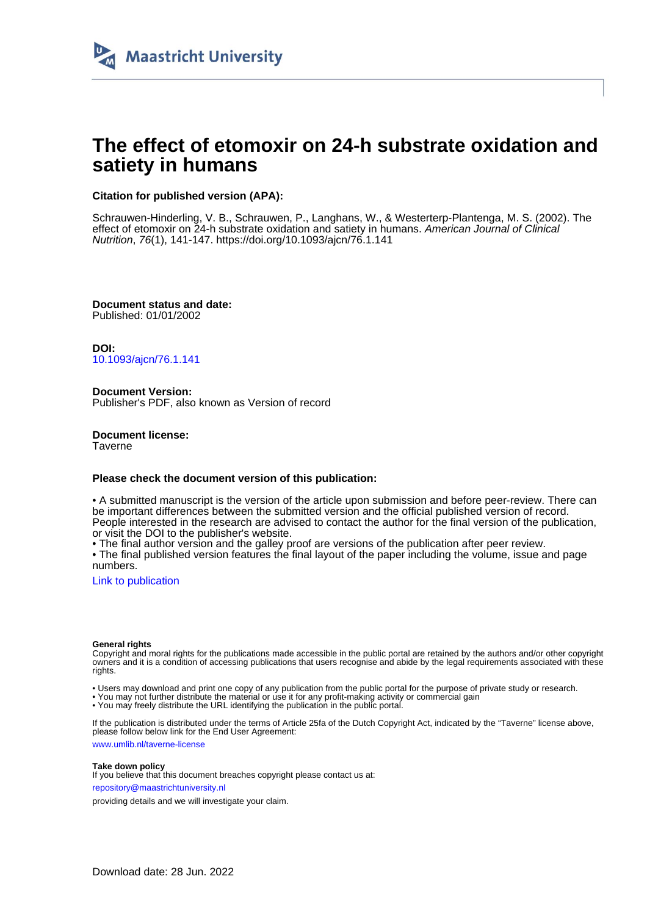

# **The effect of etomoxir on 24-h substrate oxidation and satiety in humans**

# **Citation for published version (APA):**

Schrauwen-Hinderling, V. B., Schrauwen, P., Langhans, W., & Westerterp-Plantenga, M. S. (2002). The effect of etomoxir on 24-h substrate oxidation and satiety in humans. American Journal of Clinical Nutrition, 76(1), 141-147. <https://doi.org/10.1093/ajcn/76.1.141>

**Document status and date:** Published: 01/01/2002

**DOI:** [10.1093/ajcn/76.1.141](https://doi.org/10.1093/ajcn/76.1.141)

**Document Version:** Publisher's PDF, also known as Version of record

**Document license: Taverne** 

# **Please check the document version of this publication:**

• A submitted manuscript is the version of the article upon submission and before peer-review. There can be important differences between the submitted version and the official published version of record. People interested in the research are advised to contact the author for the final version of the publication, or visit the DOI to the publisher's website.

• The final author version and the galley proof are versions of the publication after peer review.

• The final published version features the final layout of the paper including the volume, issue and page numbers.

[Link to publication](https://cris.maastrichtuniversity.nl/en/publications/d44c6782-014e-4986-8882-8323495ac75e)

#### **General rights**

Copyright and moral rights for the publications made accessible in the public portal are retained by the authors and/or other copyright owners and it is a condition of accessing publications that users recognise and abide by the legal requirements associated with these rights.

• Users may download and print one copy of any publication from the public portal for the purpose of private study or research.

• You may not further distribute the material or use it for any profit-making activity or commercial gain

• You may freely distribute the URL identifying the publication in the public portal.

If the publication is distributed under the terms of Article 25fa of the Dutch Copyright Act, indicated by the "Taverne" license above, please follow below link for the End User Agreement:

www.umlib.nl/taverne-license

## **Take down policy**

If you believe that this document breaches copyright please contact us at: repository@maastrichtuniversity.nl

providing details and we will investigate your claim.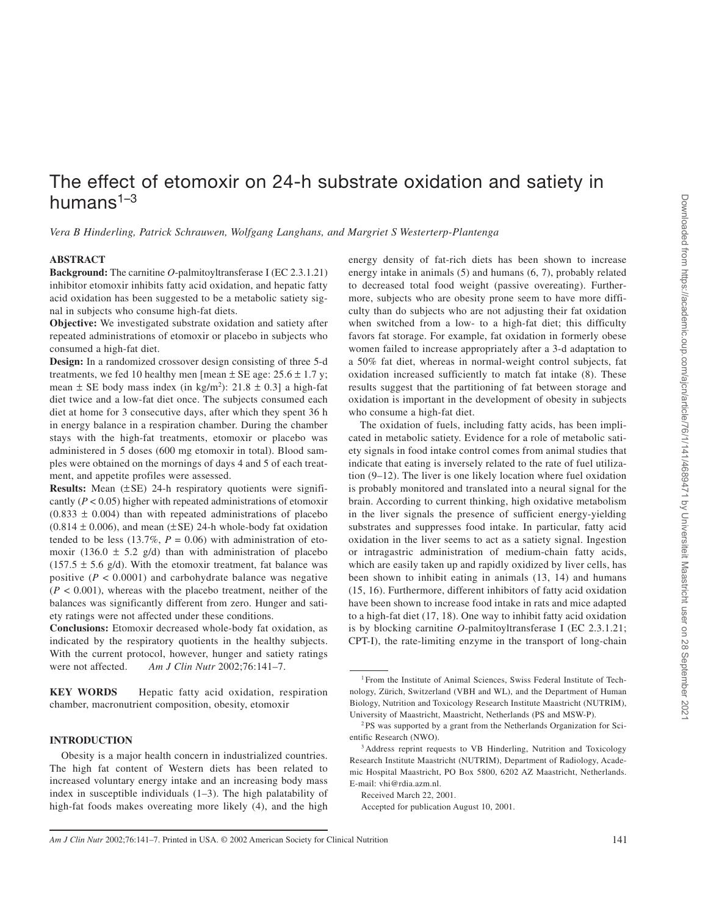# The effect of etomoxir on 24-h substrate oxidation and satiety in humans $1-3$

*Vera B Hinderling, Patrick Schrauwen, Wolfgang Langhans, and Margriet S Westerterp-Plantenga*

# **ABSTRACT**

**Background:** The carnitine *O*-palmitoyltransferase I (EC 2.3.1.21) inhibitor etomoxir inhibits fatty acid oxidation, and hepatic fatty acid oxidation has been suggested to be a metabolic satiety signal in subjects who consume high-fat diets.

**Objective:** We investigated substrate oxidation and satiety after repeated administrations of etomoxir or placebo in subjects who consumed a high-fat diet.

**Design:** In a randomized crossover design consisting of three 5-d treatments, we fed 10 healthy men [mean  $\pm$  SE age: 25.6  $\pm$  1.7 y; mean  $\pm$  SE body mass index (in kg/m<sup>2</sup>): 21.8  $\pm$  0.3] a high-fat diet twice and a low-fat diet once. The subjects consumed each diet at home for 3 consecutive days, after which they spent 36 h in energy balance in a respiration chamber. During the chamber stays with the high-fat treatments, etomoxir or placebo was administered in 5 doses (600 mg etomoxir in total). Blood samples were obtained on the mornings of days 4 and 5 of each treatment, and appetite profiles were assessed.

**Results:** Mean (±SE) 24-h respiratory quotients were significantly (*P* < 0.05) higher with repeated administrations of etomoxir  $(0.833 \pm 0.004)$  than with repeated administrations of placebo  $(0.814 \pm 0.006)$ , and mean ( $\pm$ SE) 24-h whole-body fat oxidation tended to be less (13.7%,  $P = 0.06$ ) with administration of etomoxir (136.0  $\pm$  5.2 g/d) than with administration of placebo  $(157.5 \pm 5.6 \text{ g/d})$ . With the etomoxir treatment, fat balance was positive  $(P < 0.0001)$  and carbohydrate balance was negative  $(P < 0.001)$ , whereas with the placebo treatment, neither of the balances was significantly different from zero. Hunger and satiety ratings were not affected under these conditions.

**Conclusions:** Etomoxir decreased whole-body fat oxidation, as indicated by the respiratory quotients in the healthy subjects. With the current protocol, however, hunger and satiety ratings were not affected. *Am J Clin Nutr* 2002;76:141–7.

**KEY WORDS** Hepatic fatty acid oxidation, respiration chamber, macronutrient composition, obesity, etomoxir

#### **INTRODUCTION**

energy density of fat-rich diets has been shown to increase energy intake in animals (5) and humans (6, 7), probably related to decreased total food weight (passive overeating). Furthermore, subjects who are obesity prone seem to have more difficulty than do subjects who are not adjusting their fat oxidation when switched from a low- to a high-fat diet; this difficulty favors fat storage. For example, fat oxidation in formerly obese women failed to increase appropriately after a 3-d adaptation to a 50% fat diet, whereas in normal-weight control subjects, fat oxidation increased sufficiently to match fat intake (8). These results suggest that the partitioning of fat between storage and oxidation is important in the development of obesity in subjects who consume a high-fat diet.

The oxidation of fuels, including fatty acids, has been implicated in metabolic satiety. Evidence for a role of metabolic satiety signals in food intake control comes from animal studies that indicate that eating is inversely related to the rate of fuel utilization (9–12). The liver is one likely location where fuel oxidation is probably monitored and translated into a neural signal for the brain. According to current thinking, high oxidative metabolism in the liver signals the presence of sufficient energy-yielding substrates and suppresses food intake. In particular, fatty acid oxidation in the liver seems to act as a satiety signal. Ingestion or intragastric administration of medium-chain fatty acids, which are easily taken up and rapidly oxidized by liver cells, has been shown to inhibit eating in animals (13, 14) and humans (15, 16). Furthermore, different inhibitors of fatty acid oxidation have been shown to increase food intake in rats and mice adapted to a high-fat diet (17, 18). One way to inhibit fatty acid oxidation is by blocking carnitine *O*-palmitoyltransferase I (EC 2.3.1.21; CPT-I), the rate-limiting enzyme in the transport of long-chain

<sup>3</sup> Address reprint requests to VB Hinderling, Nutrition and Toxicology Research Institute Maastricht (NUTRIM), Department of Radiology, Academic Hospital Maastricht, PO Box 5800, 6202 AZ Maastricht, Netherlands. E-mail: vhi@rdia.azm.nl.

Received March 22, 2001.

Accepted for publication August 10, 2001.

Obesity is a major health concern in industrialized countries. The high fat content of Western diets has been related to increased voluntary energy intake and an increasing body mass index in susceptible individuals (1–3). The high palatability of high-fat foods makes overeating more likely (4), and the high

<sup>&</sup>lt;sup>1</sup> From the Institute of Animal Sciences, Swiss Federal Institute of Technology, Zürich, Switzerland (VBH and WL), and the Department of Human Biology, Nutrition and Toxicology Research Institute Maastricht (NUTRIM), University of Maastricht, Maastricht, Netherlands (PS and MSW-P).

<sup>&</sup>lt;sup>2</sup>PS was supported by a grant from the Netherlands Organization for Scientific Research (NWO).

*Am J Clin Nutr* 2002;76:141–7. Printed in USA. © 2002 American Society for Clinical Nutrition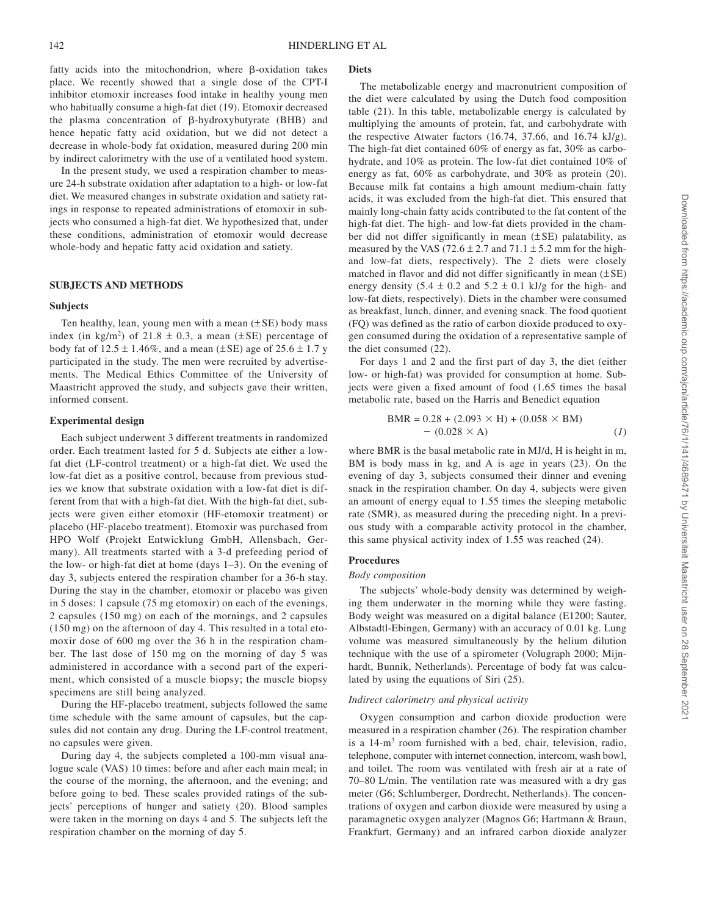fatty acids into the mitochondrion, where  $\beta$ -oxidation takes place. We recently showed that a single dose of the CPT-I inhibitor etomoxir increases food intake in healthy young men who habitually consume a high-fat diet (19). Etomoxir decreased the plasma concentration of  $\beta$ -hydroxybutyrate (BHB) and hence hepatic fatty acid oxidation, but we did not detect a decrease in whole-body fat oxidation, measured during 200 min by indirect calorimetry with the use of a ventilated hood system.

In the present study, we used a respiration chamber to measure 24-h substrate oxidation after adaptation to a high- or low-fat diet. We measured changes in substrate oxidation and satiety ratings in response to repeated administrations of etomoxir in subjects who consumed a high-fat diet. We hypothesized that, under these conditions, administration of etomoxir would decrease whole-body and hepatic fatty acid oxidation and satiety.

#### **SUBJECTS AND METHODS**

## **Subjects**

Ten healthy, lean, young men with a mean  $(\pm SE)$  body mass index (in  $\text{kg/m}^2$ ) of 21.8  $\pm$  0.3, a mean ( $\pm$ SE) percentage of body fat of  $12.5 \pm 1.46\%$ , and a mean ( $\pm$ SE) age of  $25.6 \pm 1.7$  y participated in the study. The men were recruited by advertisements. The Medical Ethics Committee of the University of Maastricht approved the study, and subjects gave their written, informed consent.

#### **Experimental design**

Each subject underwent 3 different treatments in randomized order. Each treatment lasted for 5 d. Subjects ate either a lowfat diet (LF-control treatment) or a high-fat diet. We used the low-fat diet as a positive control, because from previous studies we know that substrate oxidation with a low-fat diet is different from that with a high-fat diet. With the high-fat diet, subjects were given either etomoxir (HF-etomoxir treatment) or placebo (HF-placebo treatment). Etomoxir was purchased from HPO Wolf (Projekt Entwicklung GmbH, Allensbach, Germany). All treatments started with a 3-d prefeeding period of the low- or high-fat diet at home (days 1–3). On the evening of day 3, subjects entered the respiration chamber for a 36-h stay. During the stay in the chamber, etomoxir or placebo was given in 5 doses: 1 capsule (75 mg etomoxir) on each of the evenings, 2 capsules (150 mg) on each of the mornings, and 2 capsules (150 mg) on the afternoon of day 4. This resulted in a total etomoxir dose of 600 mg over the 36 h in the respiration chamber. The last dose of 150 mg on the morning of day 5 was administered in accordance with a second part of the experiment, which consisted of a muscle biopsy; the muscle biopsy specimens are still being analyzed.

During the HF-placebo treatment, subjects followed the same time schedule with the same amount of capsules, but the capsules did not contain any drug. During the LF-control treatment, no capsules were given.

During day 4, the subjects completed a 100-mm visual analogue scale (VAS) 10 times: before and after each main meal; in the course of the morning, the afternoon, and the evening; and before going to bed. These scales provided ratings of the subjects' perceptions of hunger and satiety (20). Blood samples were taken in the morning on days 4 and 5. The subjects left the respiration chamber on the morning of day 5.

#### **Diets**

The metabolizable energy and macronutrient composition of the diet were calculated by using the Dutch food composition table (21). In this table, metabolizable energy is calculated by multiplying the amounts of protein, fat, and carbohydrate with the respective Atwater factors (16.74, 37.66, and 16.74 kJ/g). The high-fat diet contained 60% of energy as fat, 30% as carbohydrate, and 10% as protein. The low-fat diet contained 10% of energy as fat, 60% as carbohydrate, and 30% as protein (20). Because milk fat contains a high amount medium-chain fatty acids, it was excluded from the high-fat diet. This ensured that mainly long-chain fatty acids contributed to the fat content of the high-fat diet. The high- and low-fat diets provided in the chamber did not differ significantly in mean  $(\pm SE)$  palatability, as measured by the VAS (72.6  $\pm$  2.7 and 71.1  $\pm$  5.2 mm for the highand low-fat diets, respectively). The 2 diets were closely matched in flavor and did not differ significantly in mean  $(\pm SE)$ energy density  $(5.4 \pm 0.2 \text{ and } 5.2 \pm 0.1 \text{ kJ/g}$  for the high- and low-fat diets, respectively). Diets in the chamber were consumed as breakfast, lunch, dinner, and evening snack. The food quotient (FQ) was defined as the ratio of carbon dioxide produced to oxygen consumed during the oxidation of a representative sample of the diet consumed (22).

For days 1 and 2 and the first part of day 3, the diet (either low- or high-fat) was provided for consumption at home. Subjects were given a fixed amount of food (1.65 times the basal metabolic rate, based on the Harris and Benedict equation

$$
BMR = 0.28 + (2.093 \times H) + (0.058 \times BM) - (0.028 \times A)
$$
 (1)

where BMR is the basal metabolic rate in MJ/d, H is height in m, BM is body mass in kg, and A is age in years (23). On the evening of day 3, subjects consumed their dinner and evening snack in the respiration chamber. On day 4, subjects were given an amount of energy equal to 1.55 times the sleeping metabolic rate (SMR), as measured during the preceding night. In a previous study with a comparable activity protocol in the chamber, this same physical activity index of 1.55 was reached (24).

## **Procedures**

## *Body composition*

The subjects' whole-body density was determined by weighing them underwater in the morning while they were fasting. Body weight was measured on a digital balance (E1200; Sauter, Albstadtl-Ebingen, Germany) with an accuracy of 0.01 kg. Lung volume was measured simultaneously by the helium dilution technique with the use of a spirometer (Volugraph 2000; Mijnhardt, Bunnik, Netherlands). Percentage of body fat was calculated by using the equations of Siri (25).

#### *Indirect calorimetry and physical activity*

Oxygen consumption and carbon dioxide production were measured in a respiration chamber (26). The respiration chamber is a 14-m3 room furnished with a bed, chair, television, radio, telephone, computer with internet connection, intercom, wash bowl, and toilet. The room was ventilated with fresh air at a rate of 70–80 L/min. The ventilation rate was measured with a dry gas meter (G6; Schlumberger, Dordrecht, Netherlands). The concentrations of oxygen and carbon dioxide were measured by using a paramagnetic oxygen analyzer (Magnos G6; Hartmann & Braun, Frankfurt, Germany) and an infrared carbon dioxide analyzer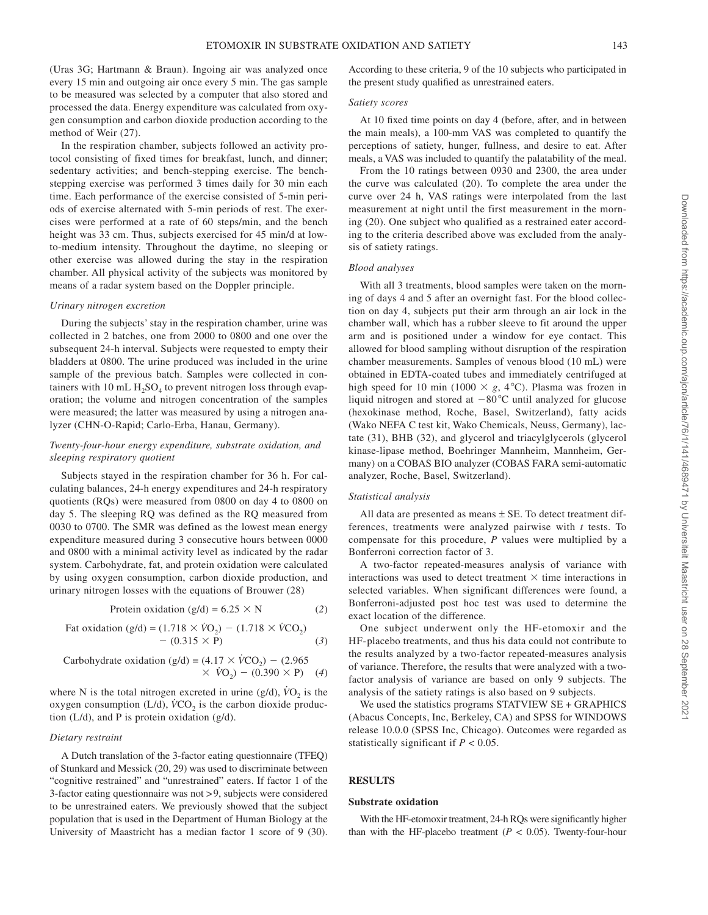(Uras 3G; Hartmann & Braun). Ingoing air was analyzed once every 15 min and outgoing air once every 5 min. The gas sample to be measured was selected by a computer that also stored and processed the data. Energy expenditure was calculated from oxygen consumption and carbon dioxide production according to the method of Weir (27).

In the respiration chamber, subjects followed an activity protocol consisting of fixed times for breakfast, lunch, and dinner; sedentary activities; and bench-stepping exercise. The benchstepping exercise was performed 3 times daily for 30 min each time. Each performance of the exercise consisted of 5-min periods of exercise alternated with 5-min periods of rest. The exercises were performed at a rate of 60 steps/min, and the bench height was 33 cm. Thus, subjects exercised for 45 min/d at lowto-medium intensity. Throughout the daytime, no sleeping or other exercise was allowed during the stay in the respiration chamber. All physical activity of the subjects was monitored by means of a radar system based on the Doppler principle.

#### *Urinary nitrogen excretion*

During the subjects' stay in the respiration chamber, urine was collected in 2 batches, one from 2000 to 0800 and one over the subsequent 24-h interval. Subjects were requested to empty their bladders at 0800. The urine produced was included in the urine sample of the previous batch. Samples were collected in containers with 10 mL  $H_2SO_4$  to prevent nitrogen loss through evaporation; the volume and nitrogen concentration of the samples were measured; the latter was measured by using a nitrogen analyzer (CHN-O-Rapid; Carlo-Erba, Hanau, Germany).

## *Twenty-four-hour energy expenditure, substrate oxidation, and sleeping respiratory quotient*

Subjects stayed in the respiration chamber for 36 h. For calculating balances, 24-h energy expenditures and 24-h respiratory quotients (RQs) were measured from 0800 on day 4 to 0800 on day 5. The sleeping RQ was defined as the RQ measured from 0030 to 0700. The SMR was defined as the lowest mean energy expenditure measured during 3 consecutive hours between 0000 and 0800 with a minimal activity level as indicated by the radar system. Carbohydrate, fat, and protein oxidation were calculated by using oxygen consumption, carbon dioxide production, and urinary nitrogen losses with the equations of Brouwer (28)

$$
Protein oxidation (g/d) = 6.25 \times N
$$
 (2)

$$
ext{Fat oxidation (g/d) = (1.718 \times \text{VO}_2) - (1.718 \times \text{VCO}_2) - (0.315 \times \text{P})} \tag{3}
$$

Carbohydrate oxidation (g/d) = 
$$
(4.17 \times \text{VCO}_2) - (2.965 \times \text{VO}_2) - (0.390 \times \text{P})
$$
 (4)

where N is the total nitrogen excreted in urine  $(g/d)$ ,  $\dot{V}O_2$  is the  $\alpha$ y  $\alpha$  is the coal integen encreased in time (g, e),  $\alpha$   $\beta$  is the consumption (L/d),  $\dot{V}CO_2$  is the carbon dioxide production (L/d), and P is protein oxidation (g/d).

#### *Dietary restraint*

A Dutch translation of the 3-factor eating questionnaire (TFEQ) of Stunkard and Messick (20, 29) was used to discriminate between "cognitive restrained" and "unrestrained" eaters. If factor 1 of the 3-factor eating questionnaire was not >9, subjects were considered to be unrestrained eaters. We previously showed that the subject population that is used in the Department of Human Biology at the University of Maastricht has a median factor 1 score of 9 (30).

According to these criteria, 9 of the 10 subjects who participated in the present study qualified as unrestrained eaters.

#### *Satiety scores*

At 10 fixed time points on day 4 (before, after, and in between the main meals), a 100-mm VAS was completed to quantify the perceptions of satiety, hunger, fullness, and desire to eat. After meals, a VAS was included to quantify the palatability of the meal.

From the 10 ratings between 0930 and 2300, the area under the curve was calculated (20). To complete the area under the curve over 24 h, VAS ratings were interpolated from the last measurement at night until the first measurement in the morning (20). One subject who qualified as a restrained eater according to the criteria described above was excluded from the analysis of satiety ratings.

#### *Blood analyses*

With all 3 treatments, blood samples were taken on the morning of days 4 and 5 after an overnight fast. For the blood collection on day 4, subjects put their arm through an air lock in the chamber wall, which has a rubber sleeve to fit around the upper arm and is positioned under a window for eye contact. This allowed for blood sampling without disruption of the respiration chamber measurements. Samples of venous blood (10 mL) were obtained in EDTA-coated tubes and immediately centrifuged at high speed for 10 min (1000  $\times$  g, 4 °C). Plasma was frozen in liquid nitrogen and stored at  $-80^{\circ}$ C until analyzed for glucose (hexokinase method, Roche, Basel, Switzerland), fatty acids (Wako NEFA C test kit, Wako Chemicals, Neuss, Germany), lactate (31), BHB (32), and glycerol and triacylglycerols (glycerol kinase-lipase method, Boehringer Mannheim, Mannheim, Germany) on a COBAS BIO analyzer (COBAS FARA semi-automatic analyzer, Roche, Basel, Switzerland).

#### *Statistical analysis*

All data are presented as means  $\pm$  SE. To detect treatment differences, treatments were analyzed pairwise with *t* tests. To compensate for this procedure, *P* values were multiplied by a Bonferroni correction factor of 3.

A two-factor repeated-measures analysis of variance with interactions was used to detect treatment  $\times$  time interactions in selected variables. When significant differences were found, a Bonferroni-adjusted post hoc test was used to determine the exact location of the difference.

One subject underwent only the HF-etomoxir and the HF-placebo treatments, and thus his data could not contribute to the results analyzed by a two-factor repeated-measures analysis of variance. Therefore, the results that were analyzed with a twofactor analysis of variance are based on only 9 subjects. The analysis of the satiety ratings is also based on 9 subjects.

We used the statistics programs STATVIEW SE + GRAPHICS (Abacus Concepts, Inc, Berkeley, CA) and SPSS for WINDOWS release 10.0.0 (SPSS Inc, Chicago). Outcomes were regarded as statistically significant if *P* < 0.05.

#### **RESULTS**

#### **Substrate oxidation**

With the HF-etomoxir treatment, 24-h RQs were significantly higher than with the HF-placebo treatment  $(P < 0.05)$ . Twenty-four-hour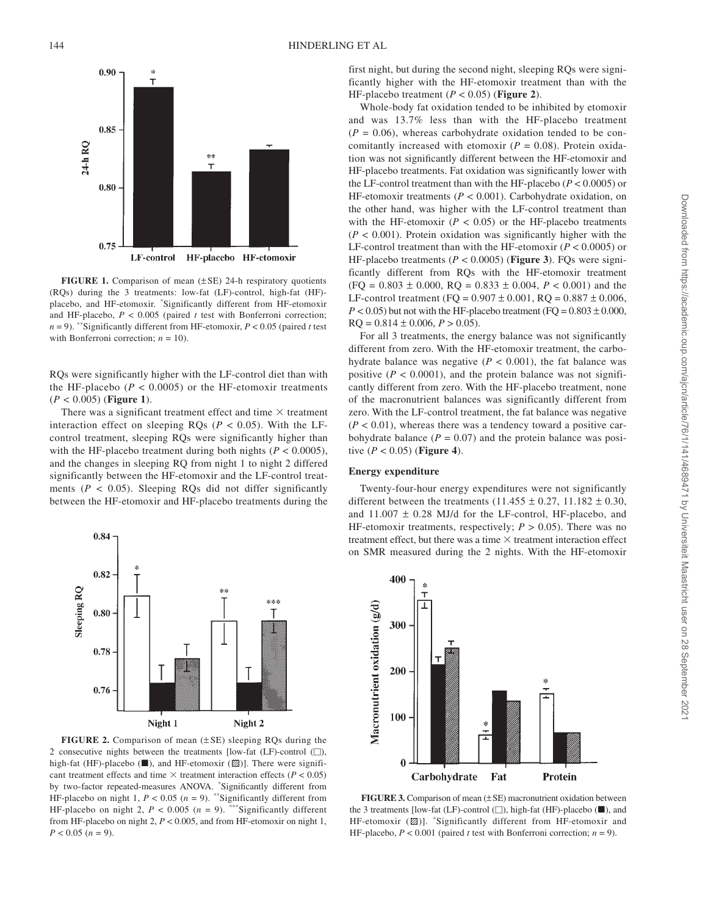

**FIGURE 1.** Comparison of mean ( $\pm$ SE) 24-h respiratory quotients (RQs) during the 3 treatments: low-fat (LF)-control, high-fat (HF) placebo, and HF-etomoxir. \* Significantly different from HF-etomoxir and HF-placebo, *P* < 0.005 (paired *t* test with Bonferroni correction;  $n = 9$ ). \*\*Significantly different from HF-etomoxir,  $P < 0.05$  (paired *t* test with Bonferroni correction;  $n = 10$ ).

RQs were significantly higher with the LF-control diet than with the HF-placebo  $(P < 0.0005)$  or the HF-etomoxir treatments (*P* < 0.005) (**Figure 1**).

There was a significant treatment effect and time  $\times$  treatment interaction effect on sleeping  $RQs$  ( $P < 0.05$ ). With the LFcontrol treatment, sleeping RQs were significantly higher than with the HF-placebo treatment during both nights  $(P < 0.0005)$ , and the changes in sleeping RQ from night 1 to night 2 differed significantly between the HF-etomoxir and the LF-control treatments  $(P < 0.05)$ . Sleeping RQs did not differ significantly between the HF-etomoxir and HF-placebo treatments during the



**FIGURE 2.** Comparison of mean (± SE) sleeping RQs during the 2 consecutive nights between the treatments [low-fat (LF)-control  $(\Box)$ , high-fat (HF)-placebo ( $\blacksquare$ ), and HF-etomoxir ( $\boxtimes$ )]. There were significant treatment effects and time  $\times$  treatment interaction effects ( $P < 0.05$ ) by two-factor repeated-measures ANOVA. \* Significantly different from HF-placebo on night 1,  $P < 0.05$  ( $n = 9$ ). \*\*Significantly different from HF-placebo on night 2, *P* < 0.005 (*n* = 9). \*\*\*Significantly different from HF-placebo on night 2, *P* < 0.005, and from HF-etomoxir on night 1,  $P < 0.05$  ( $n = 9$ ).

first night, but during the second night, sleeping RQs were significantly higher with the HF-etomoxir treatment than with the HF-placebo treatment (*P* < 0.05) (**Figure 2**).

Whole-body fat oxidation tended to be inhibited by etomoxir and was 13.7% less than with the HF-placebo treatment  $(P = 0.06)$ , whereas carbohydrate oxidation tended to be concomitantly increased with etomoxir ( $P = 0.08$ ). Protein oxidation was not significantly different between the HF-etomoxir and HF-placebo treatments. Fat oxidation was significantly lower with the LF-control treatment than with the HF-placebo (*P* < 0.0005) or HF-etomoxir treatments (*P* < 0.001). Carbohydrate oxidation, on the other hand, was higher with the LF-control treatment than with the HF-etomoxir ( $P < 0.05$ ) or the HF-placebo treatments  $(P < 0.001)$ . Protein oxidation was significantly higher with the LF-control treatment than with the HF-etomoxir (*P* < 0.0005) or HF-placebo treatments (*P* < 0.0005) (**Figure 3**). FQs were significantly different from RQs with the HF-etomoxir treatment  $(FQ = 0.803 \pm 0.000, RQ = 0.833 \pm 0.004, P < 0.001)$  and the LF-control treatment (FQ =  $0.907 \pm 0.001$ , RQ =  $0.887 \pm 0.006$ ,  $P < 0.05$ ) but not with the HF-placebo treatment (FQ =  $0.803 \pm 0.000$ ,  $RQ = 0.814 \pm 0.006$ ,  $P > 0.05$ ).

For all 3 treatments, the energy balance was not significantly different from zero. With the HF-etomoxir treatment, the carbohydrate balance was negative  $(P < 0.001)$ , the fat balance was positive  $(P < 0.0001)$ , and the protein balance was not significantly different from zero. With the HF-placebo treatment, none of the macronutrient balances was significantly different from zero. With the LF-control treatment, the fat balance was negative  $(P < 0.01)$ , whereas there was a tendency toward a positive carbohydrate balance  $(P = 0.07)$  and the protein balance was positive  $(P < 0.05)$  (**Figure 4**).

#### **Energy expenditure**

Twenty-four-hour energy expenditures were not significantly different between the treatments  $(11.455 \pm 0.27, 11.182 \pm 0.30,$ and  $11.007 \pm 0.28$  MJ/d for the LF-control, HF-placebo, and HF-etomoxir treatments, respectively;  $P > 0.05$ ). There was no treatment effect, but there was a time  $\times$  treatment interaction effect on SMR measured during the 2 nights. With the HF-etomoxir

400 Macronutrient oxidation  $(g/d)$ 300 200 100  $\mathbf{0}$ Carbohydrate Fat **Protein** 

**FIGURE 3.** Comparison of mean (±SE) macronutrient oxidation between the 3 treatments [low-fat (LF)-control  $(\square)$ , high-fat (HF)-placebo ( $\blacksquare$ ), and HF-etomoxir (22)]. \*Significantly different from HF-etomoxir and HF-placebo, *P* < 0.001 (paired *t* test with Bonferroni correction; *n* = 9).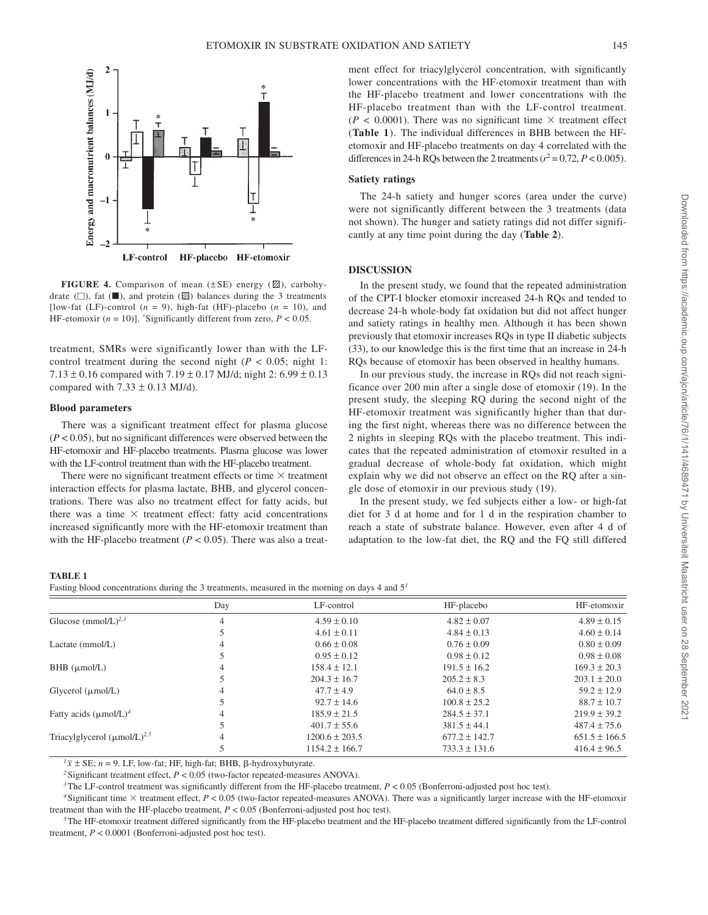

LF-control HF-placebo HF-etomoxir

**FIGURE 4.** Comparison of mean  $(\pm SE)$  energy ( $\mathbb{Z}$ ), carbohydrate  $(\square)$ , fat  $(\blacksquare)$ , and protein  $(\boxtimes)$  balances during the 3 treatments [low-fat (LF)-control  $(n = 9)$ , high-fat (HF)-placebo  $(n = 10)$ , and HF-etomoxir  $(n = 10)$ ]. *\*Significantly different from zero,*  $P < 0.05$ *.* 

treatment, SMRs were significantly lower than with the LFcontrol treatment during the second night  $(P < 0.05$ ; night 1: 7.13  $\pm$  0.16 compared with 7.19  $\pm$  0.17 MJ/d; night 2: 6.99  $\pm$  0.13 compared with  $7.33 \pm 0.13$  MJ/d).

#### **Blood parameters**

There was a significant treatment effect for plasma glucose (*P* < 0.05), but no significant differences were observed between the HF-etomoxir and HF-placebo treatments. Plasma glucose was lower with the LF-control treatment than with the HF-placebo treatment.

There were no significant treatment effects or time  $\times$  treatment interaction effects for plasma lactate, BHB, and glycerol concentrations. There was also no treatment effect for fatty acids, but there was a time  $\times$  treatment effect: fatty acid concentrations increased significantly more with the HF-etomoxir treatment than with the HF-placebo treatment  $(P < 0.05)$ . There was also a treatment effect for triacylglycerol concentration, with significantly lower concentrations with the HF-etomoxir treatment than with the HF-placebo treatment and lower concentrations with the HF-placebo treatment than with the LF-control treatment. ( $P < 0.0001$ ). There was no significant time  $\times$  treatment effect (**Table 1**). The individual differences in BHB between the HFetomoxir and HF-placebo treatments on day 4 correlated with the differences in 24-h RQs between the 2 treatments ( $r^2 = 0.72$ ,  $P < 0.005$ ).

#### **Satiety ratings**

The 24-h satiety and hunger scores (area under the curve) were not significantly different between the 3 treatments (data not shown). The hunger and satiety ratings did not differ significantly at any time point during the day (**Table 2**).

#### **DISCUSSION**

In the present study, we found that the repeated administration of the CPT-I blocker etomoxir increased 24-h RQs and tended to decrease 24-h whole-body fat oxidation but did not affect hunger and satiety ratings in healthy men. Although it has been shown previously that etomoxir increases RQs in type II diabetic subjects (33), to our knowledge this is the first time that an increase in 24-h RQs because of etomoxir has been observed in healthy humans.

In our previous study, the increase in RQs did not reach significance over 200 min after a single dose of etomoxir (19). In the present study, the sleeping RQ during the second night of the HF-etomoxir treatment was significantly higher than that during the first night, whereas there was no difference between the 2 nights in sleeping RQs with the placebo treatment. This indicates that the repeated administration of etomoxir resulted in a gradual decrease of whole-body fat oxidation, which might explain why we did not observe an effect on the RQ after a single dose of etomoxir in our previous study (19).

In the present study, we fed subjects either a low- or high-fat diet for 3 d at home and for 1 d in the respiration chamber to reach a state of substrate balance. However, even after 4 d of adaptation to the low-fat diet, the RQ and the FQ still differed

Fasting blood concentrations during the 3 treatments, measured in the morning on days 4 and 5*<sup>1</sup>*

|                                            | Day | LF-control         | HF-placebo        | HF-etomoxir       |
|--------------------------------------------|-----|--------------------|-------------------|-------------------|
| Glucose (mmol/L) <sup>2,3</sup>            | 4   | $4.59 \pm 0.10$    | $4.82 \pm 0.07$   | $4.89 \pm 0.15$   |
|                                            |     | $4.61 \pm 0.11$    | $4.84 \pm 0.13$   | $4.60 \pm 0.14$   |
| Lactate $(mmol/L)$                         | 4   | $0.66 \pm 0.08$    | $0.76 \pm 0.09$   | $0.80 \pm 0.09$   |
|                                            |     | $0.95 \pm 0.12$    | $0.98 \pm 0.12$   | $0.98 \pm 0.08$   |
| $BHB$ ( $\mu$ mol/L)                       | 4   | $158.4 \pm 12.1$   | $191.5 \pm 16.2$  | $169.3 \pm 20.3$  |
|                                            |     | $204.3 \pm 16.7$   | $205.2 \pm 8.3$   | $203.1 \pm 20.0$  |
| Glycerol $(\mu \text{mol/L})$              | 4   | $47.7 \pm 4.9$     | $64.0 \pm 8.5$    | $59.2 \pm 12.9$   |
|                                            |     | $92.7 \pm 14.6$    | $100.8 \pm 25.2$  | $88.7 \pm 10.7$   |
| Fatty acids $(\mu \text{mol/L})^4$         | 4   | $185.9 \pm 21.5$   | $284.5 \pm 37.1$  | $219.9 \pm 39.2$  |
|                                            |     | $401.7 \pm 55.6$   | $381.5 \pm 44.1$  | $487.4 \pm 75.6$  |
| Triacylglycerol $(\mu \text{mol/L})^{2.5}$ | 4   | $1200.6 \pm 203.5$ | $677.2 \pm 142.7$ | $651.5 \pm 166.5$ |
|                                            |     | $1154.2 \pm 166.7$ | $733.3 \pm 131.6$ | $416.4 \pm 96.5$  |

 $\sqrt{l}$   $\overline{x}$  ± SE; *n* = 9. LF, low-fat; HF, high-fat; BHB,  $\beta$ -hydroxybutyrate.

*<sup>2</sup>*Significant treatment effect, *P* < 0.05 (two-factor repeated-measures ANOVA).

*<sup>3</sup>*The LF-control treatment was significantly different from the HF-placebo treatment, *P* < 0.05 (Bonferroni-adjusted post hoc test).

<sup>4</sup>Significant time  $\times$  treatment effect, *P* < 0.05 (two-factor repeated-measures ANOVA). There was a significantly larger increase with the HF-etomoxir treatment than with the HF-placebo treatment, *P* < 0.05 (Bonferroni-adjusted post hoc test).

<sup>5</sup>The HF-etomoxir treatment differed significantly from the HF-placebo treatment and the HF-placebo treatment differed significantly from the LF-control treatment, *P* < 0.0001 (Bonferroni-adjusted post hoc test).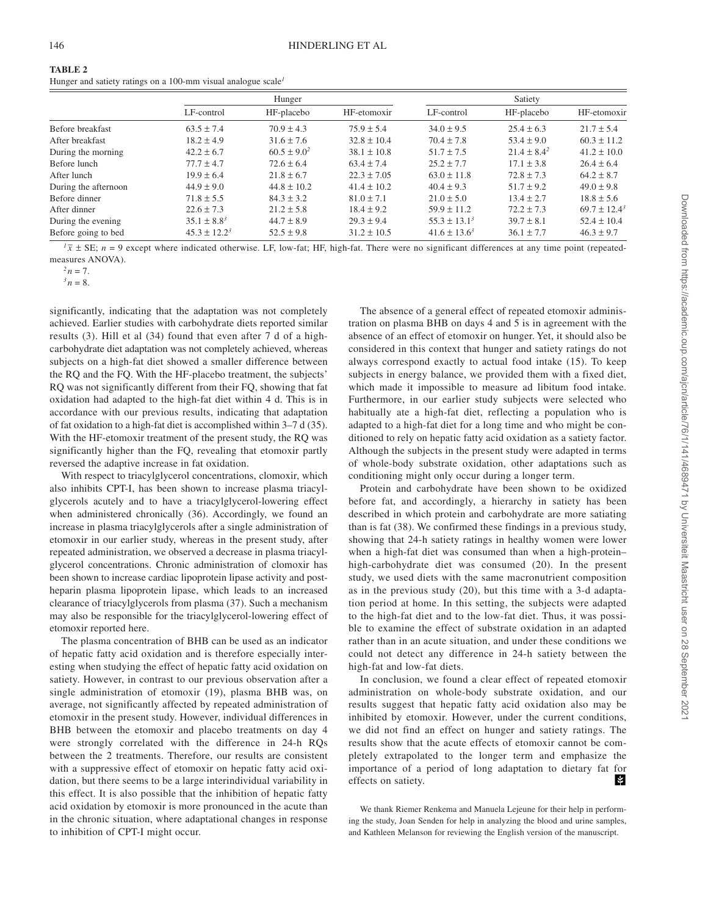# **TABLE 2**

| Hunger and satiety ratings on a 100-mm visual analogue scale <sup>1</sup> |  |  |  |  |
|---------------------------------------------------------------------------|--|--|--|--|
|                                                                           |  |  |  |  |

|                      |                   | Hunger           |                 |                   | Satiety          |                   |  |
|----------------------|-------------------|------------------|-----------------|-------------------|------------------|-------------------|--|
|                      | LF-control        | HF-placebo       | HF-etomoxir     | LF-control        | HF-placebo       | HF-etomoxir       |  |
| Before breakfast     | $63.5 \pm 7.4$    | $70.9 \pm 4.3$   | $75.9 \pm 5.4$  | $34.0 \pm 9.5$    | $25.4 \pm 6.3$   | $21.7 \pm 5.4$    |  |
| After breakfast      | $18.2 \pm 4.9$    | $31.6 \pm 7.6$   | $32.8 \pm 10.4$ | $70.4 \pm 7.8$    | $53.4 \pm 9.0$   | $60.3 \pm 11.2$   |  |
| During the morning   | $42.2 \pm 6.7$    | $60.5 \pm 9.0^2$ | $38.1 \pm 10.8$ | $51.7 \pm 7.5$    | $21.4 \pm 8.4^2$ | $41.2 \pm 10.0$   |  |
| Before lunch         | $77.7 \pm 4.7$    | $72.6 \pm 6.4$   | $63.4 \pm 7.4$  | $25.2 \pm 7.7$    | $17.1 \pm 3.8$   | $26.4 \pm 6.4$    |  |
| After lunch          | $19.9 \pm 6.4$    | $21.8 \pm 6.7$   | $22.3 \pm 7.05$ | $63.0 \pm 11.8$   | $72.8 \pm 7.3$   | $64.2 \pm 8.7$    |  |
| During the afternoon | $44.9 \pm 9.0$    | $44.8 \pm 10.2$  | $41.4 \pm 10.2$ | $40.4 \pm 9.3$    | $51.7 \pm 9.2$   | $49.0 \pm 9.8$    |  |
| Before dinner        | $71.8 \pm 5.5$    | $84.3 \pm 3.2$   | $81.0 \pm 7.1$  | $21.0 \pm 5.0$    | $13.4 \pm 2.7$   | $18.8 \pm 5.6$    |  |
| After dinner         | $22.6 \pm 7.3$    | $21.2 \pm 5.8$   | $18.4 \pm 9.2$  | $59.9 \pm 11.2$   | $72.2 \pm 7.3$   | $69.7 \pm 12.4^3$ |  |
| During the evening   | $35.1 \pm 8.8^3$  | $44.7 \pm 8.9$   | $29.3 \pm 9.4$  | $55.3 \pm 13.1^3$ | $39.7 \pm 8.1$   | $52.4 \pm 10.4$   |  |
| Before going to bed  | $45.3 \pm 12.2^3$ | $52.5 \pm 9.8$   | $31.2 \pm 10.5$ | $41.6 \pm 13.6^3$ | $36.1 \pm 7.7$   | $46.3 \pm 9.7$    |  |

 $\sqrt[n]{x}$  ± SE; *n* = 9 except where indicated otherwise. LF, low-fat; HF, high-fat. There were no significant differences at any time point (repeatedmeasures ANOVA).

 $3n = 8$ .

significantly, indicating that the adaptation was not completely achieved. Earlier studies with carbohydrate diets reported similar results (3). Hill et al (34) found that even after 7 d of a highcarbohydrate diet adaptation was not completely achieved, whereas subjects on a high-fat diet showed a smaller difference between the RQ and the FQ. With the HF-placebo treatment, the subjects' RQ was not significantly different from their FQ, showing that fat oxidation had adapted to the high-fat diet within 4 d. This is in accordance with our previous results, indicating that adaptation of fat oxidation to a high-fat diet is accomplished within 3–7 d (35). With the HF-etomoxir treatment of the present study, the RQ was significantly higher than the FQ, revealing that etomoxir partly reversed the adaptive increase in fat oxidation.

With respect to triacylglycerol concentrations, clomoxir, which also inhibits CPT-I, has been shown to increase plasma triacylglycerols acutely and to have a triacylglycerol-lowering effect when administered chronically (36). Accordingly, we found an increase in plasma triacylglycerols after a single administration of etomoxir in our earlier study, whereas in the present study, after repeated administration, we observed a decrease in plasma triacylglycerol concentrations. Chronic administration of clomoxir has been shown to increase cardiac lipoprotein lipase activity and postheparin plasma lipoprotein lipase, which leads to an increased clearance of triacylglycerols from plasma (37). Such a mechanism may also be responsible for the triacylglycerol-lowering effect of etomoxir reported here.

The plasma concentration of BHB can be used as an indicator of hepatic fatty acid oxidation and is therefore especially interesting when studying the effect of hepatic fatty acid oxidation on satiety. However, in contrast to our previous observation after a single administration of etomoxir (19), plasma BHB was, on average, not significantly affected by repeated administration of etomoxir in the present study. However, individual differences in BHB between the etomoxir and placebo treatments on day 4 were strongly correlated with the difference in 24-h RQs between the 2 treatments. Therefore, our results are consistent with a suppressive effect of etomoxir on hepatic fatty acid oxidation, but there seems to be a large interindividual variability in this effect. It is also possible that the inhibition of hepatic fatty acid oxidation by etomoxir is more pronounced in the acute than in the chronic situation, where adaptational changes in response to inhibition of CPT-I might occur.

The absence of a general effect of repeated etomoxir administration on plasma BHB on days 4 and 5 is in agreement with the absence of an effect of etomoxir on hunger. Yet, it should also be considered in this context that hunger and satiety ratings do not always correspond exactly to actual food intake (15). To keep subjects in energy balance, we provided them with a fixed diet, which made it impossible to measure ad libitum food intake. Furthermore, in our earlier study subjects were selected who habitually ate a high-fat diet, reflecting a population who is adapted to a high-fat diet for a long time and who might be conditioned to rely on hepatic fatty acid oxidation as a satiety factor. Although the subjects in the present study were adapted in terms of whole-body substrate oxidation, other adaptations such as conditioning might only occur during a longer term.

Protein and carbohydrate have been shown to be oxidized before fat, and accordingly, a hierarchy in satiety has been described in which protein and carbohydrate are more satiating than is fat (38). We confirmed these findings in a previous study, showing that 24-h satiety ratings in healthy women were lower when a high-fat diet was consumed than when a high-protein– high-carbohydrate diet was consumed (20). In the present study, we used diets with the same macronutrient composition as in the previous study (20), but this time with a 3-d adaptation period at home. In this setting, the subjects were adapted to the high-fat diet and to the low-fat diet. Thus, it was possible to examine the effect of substrate oxidation in an adapted rather than in an acute situation, and under these conditions we could not detect any difference in 24-h satiety between the high-fat and low-fat diets.

In conclusion, we found a clear effect of repeated etomoxir administration on whole-body substrate oxidation, and our results suggest that hepatic fatty acid oxidation also may be inhibited by etomoxir. However, under the current conditions, we did not find an effect on hunger and satiety ratings. The results show that the acute effects of etomoxir cannot be completely extrapolated to the longer term and emphasize the importance of a period of long adaptation to dietary fat for 陷 effects on satiety.

We thank Riemer Renkema and Manuela Lejeune for their help in performing the study, Joan Senden for help in analyzing the blood and urine samples, and Kathleen Melanson for reviewing the English version of the manuscript.

 $^{2}n = 7$ .